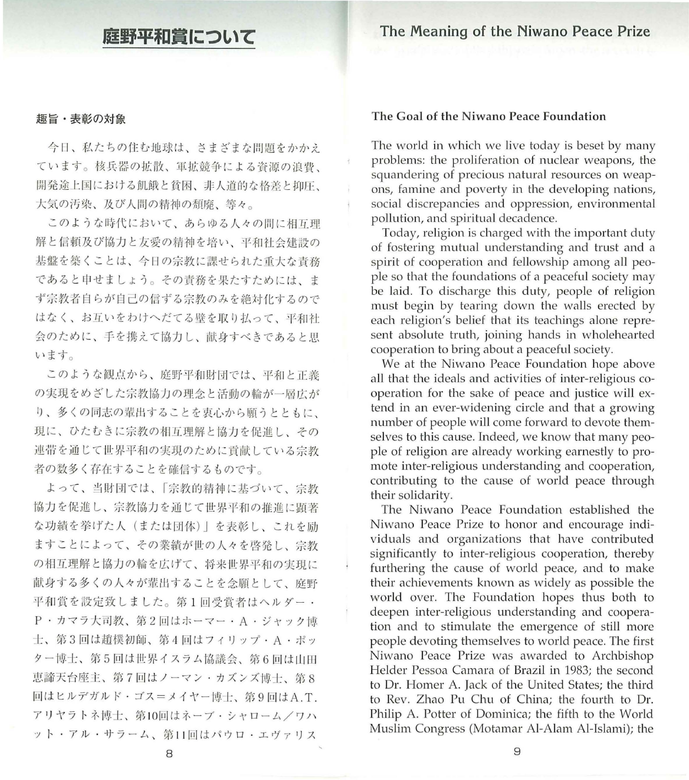# 庭野平和賞について

The Meaning of the Niwano Peace Prize

## 趣旨・表彰の対象

今日、私たちの住む地球は、さまざまな問題をかかえ ています。核兵器の拡散、軍拡競争による資源の浪費、 開発途上国における飢餓と貧困、非人道的な格差と抑圧、 大気の汚染、及び人間の精神の頽廃、等々。

このような時代において、あらゆる人々の間に相互理 解と信頼及び協力と友愛の精神を培い、平和社会建設の 器撤を築くことは、今日の宗教に謀せられた重大な責務 であると申せましょう。その責務を果たすためには、ま ず宗教者自らが自己の信ずる宗教のみを絶対化するので はなく、お互いをわけへだてる壁を取り払って、平和社 会のために、手を舵えて協力し、献身すべきであると思 います。

このような観点から、庭野平和財団では、平和と正義 の実現をめざした宗教協力の理念と活動の輪が一層広が り、多くの同志の輩出することを衷心から願うとともに、 現に、ひたむきに宗教の相互理解と協力を促進し、その 連帯を通じて世界平和の実現のために貢献している宗教 者の数多く存在することを確信するものです

よって、当財団では、「宗教的精神に基づいて、宗教 協力を促進し、宗教協力を通じて世界平和の推進に顕著 な功績を挙げた人(または団体)」を表彰し、これを励 ますことによって、その業績が世の人々を啓発し、宗教 の相互理解と協力の輪を広げて、将来世界平和の実現に 献身する多くの人々が輩出することを念願として、庭野 平和賞を設定致しました。第1回受賞者はヘルダー· P·カマラ大司教、第2回はホーマー·A·ジャック博 士、第3回は趙樸初師、第4回はフィリップ·A·ポッ ター博士、第5回は世界イスラム協議会、第6回は山田 恵諦天台座主、第7回はノーマン・カズンズ博士、第8 回はヒルデガルド·ゴス=メイヤー博士、第9回はA.T. アリヤラトネ博士、第10回はネーブ・シャローム/ワハ ット・アル・サラーム、第11回はパウロ・エヴァリス

## The Goal of the Niwano Peace Foundation

The world in which we live today is beset by many problems: the proliferation of nuclear weapons, the squandering of precious natural resources on weapons, famine and poverty in the developing nations, social discrepancies and oppression, environmental pollution, and spiritual decadence.

Today, religion is charged with the important duty of fostering mutual understanding and trust and a spirit of cooperation and fellowship among all people so that the foundations of a peaceful society may be laid. To discharge this duty, people of religion must begin by tearing down the walls erected by each religion's belief that its teachings alone represent absolute truth, joining hands in wholehearted cooperation to bring about a peaceful society.

We at the Niwano Peace Foundation hope above all that the ideals and activities of inter-religious cooperation for the sake of peace and justice will extend in an ever-widening circle and that a growing number of people will come forward to devote themselves to this cause. Indeed, we know that many people of religion are already working earnestly to promote inter-religious understanding and cooperation, contributing to the cause of world peace through their solidarity.

The Niwano Peace Foundation established the Niwano Peace Prize to honor and encourage individuals and organizations that have contributed significantly to inter-religious cooperation, thereby furthering the cause of world peace, and to make their achievements known as widely as possible the world over. The Foundation hopes thus both to deepen inter-religious understanding and cooperation and to stimulate the emergence of still more people devoting themselves to world peace. The first Niwano Peace Prize was awarded to Archbishop Helder Pessoa Camara of Brazil in 1983; the second to Dr. Homer A. Jack of the United States; the third to Rev. Zhao Pu Chu of China; the fourth to Dr. Philip A. Potter of Dominica; the fifth to the World Muslim Congress (Motamar Al-Alam Al-Islami); the